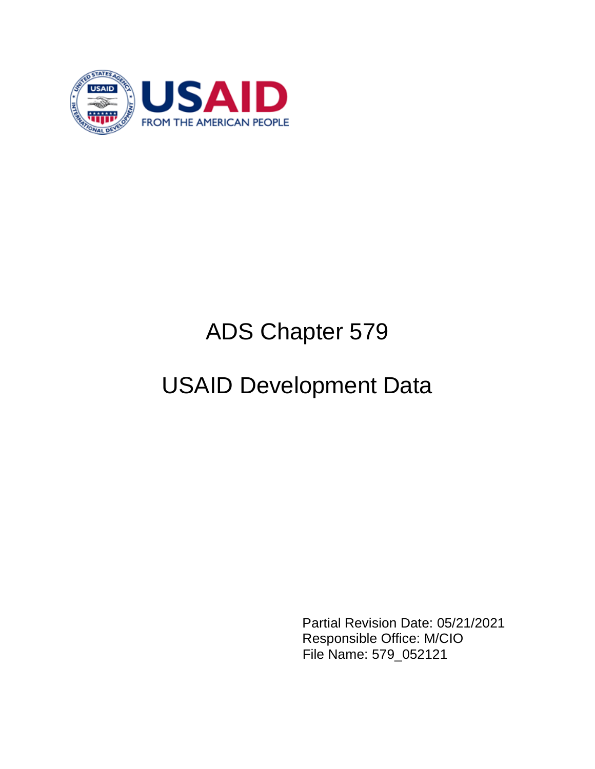

# ADS Chapter 579

# USAID Development Data

Partial Revision Date: 05/21/2021 Responsible Office: M/CIO File Name: 579\_052121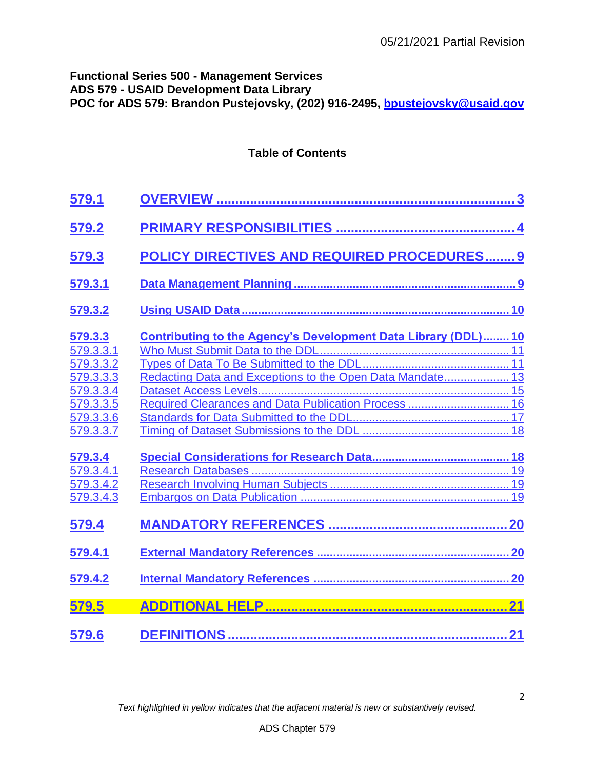2

## **Functional Series 500 - Management Services ADS 579 - USAID Development Data Library POC for ADS 579: Brandon Pustejovsky, (202) 916-2495, [bpustejovsky@usaid.gov](mailto:bpustejovsky@usaid.gov)**

## **Table of Contents**

| <b>579.1</b>                                                                                       |                                                                                                                                                                                     |
|----------------------------------------------------------------------------------------------------|-------------------------------------------------------------------------------------------------------------------------------------------------------------------------------------|
| 579.2                                                                                              |                                                                                                                                                                                     |
| <u>579.3</u>                                                                                       | POLICY DIRECTIVES AND REQUIRED PROCEDURES 9                                                                                                                                         |
| 579.3.1                                                                                            |                                                                                                                                                                                     |
| 579.3.2                                                                                            |                                                                                                                                                                                     |
| 579.3.3<br>579.3.3.1<br>579.3.3.2<br>579.3.3.3<br>579.3.3.4<br>579.3.3.5<br>579.3.3.6<br>579.3.3.7 | Contributing to the Agency's Development Data Library (DDL) 10<br>Redacting Data and Exceptions to the Open Data Mandate 13<br>Required Clearances and Data Publication Process  16 |
| 579.3.4<br>579.3.4.1<br>579.3.4.2<br>579.3.4.3                                                     |                                                                                                                                                                                     |
| <u>579.4</u><br>579.4.1                                                                            |                                                                                                                                                                                     |
| 579.4.2<br>579.5<br>579.6                                                                          |                                                                                                                                                                                     |
|                                                                                                    |                                                                                                                                                                                     |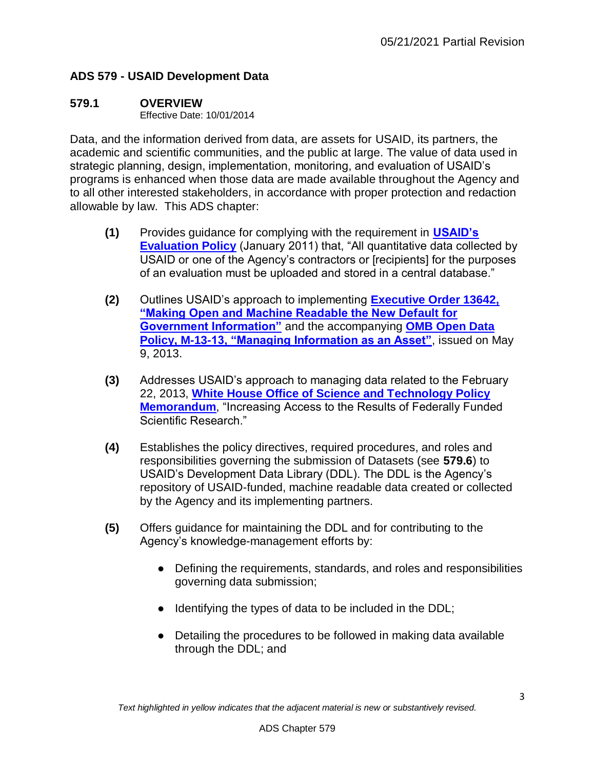## **ADS 579 - USAID Development Data**

## <span id="page-2-0"></span>**579.1 OVERVIEW**

Effective Date: 10/01/2014

Data, and the information derived from data, are assets for USAID, its partners, the academic and scientific communities, and the public at large. The value of data used in strategic planning, design, implementation, monitoring, and evaluation of USAID's programs is enhanced when those data are made available throughout the Agency and to all other interested stakeholders, in accordance with proper protection and redaction allowable by law. This ADS chapter:

- **(1)** Provides guidance for complying with the requirement in **[USAID's](http://www.usaid.gov/evaluation/policy)  [Evaluation Policy](http://www.usaid.gov/evaluation/policy)** (January 2011) that, "All quantitative data collected by USAID or one of the Agency's contractors or [recipients] for the purposes of an evaluation must be uploaded and stored in a central database."
- **(2)** Outlines USAID's approach to implementing **[Executive Order 13642,](http://www.whitehouse.gov/the-press-office/2013/05/09/executive-order-making-open-and-machine-readable-new-default-government-)  ["Making Open and Machine Readable the New Default for](http://www.whitehouse.gov/the-press-office/2013/05/09/executive-order-making-open-and-machine-readable-new-default-government-)  [Government Information"](http://www.whitehouse.gov/the-press-office/2013/05/09/executive-order-making-open-and-machine-readable-new-default-government-)** and the accompanying **[OMB Open Data](http://www.whitehouse.gov/sites/default/files/omb/memoranda/2013/m-13-13.pdf)  [Policy, M-13-13, "Managing Information as an Asset"](http://www.whitehouse.gov/sites/default/files/omb/memoranda/2013/m-13-13.pdf)**, issued on May 9, 2013.
- **(3)** Addresses USAID's approach to managing data related to the February 22, 2013, **[White House Office of Science and Technology Policy](http://www.whitehouse.gov/sites/default/files/microsites/ostp/ostp_public_access_memo_2013.pdf)  [Memorandum](http://www.whitehouse.gov/sites/default/files/microsites/ostp/ostp_public_access_memo_2013.pdf)**, "Increasing Access to the Results of Federally Funded Scientific Research."
- **(4)** Establishes the policy directives, required procedures, and roles and responsibilities governing the submission of Datasets (see **579.6**) to USAID's Development Data Library (DDL). The DDL is the Agency's repository of USAID-funded, machine readable data created or collected by the Agency and its implementing partners.
- **(5)** Offers guidance for maintaining the DDL and for contributing to the Agency's knowledge-management efforts by:
	- Defining the requirements, standards, and roles and responsibilities governing data submission;
	- Identifying the types of data to be included in the DDL;
	- Detailing the procedures to be followed in making data available through the DDL; and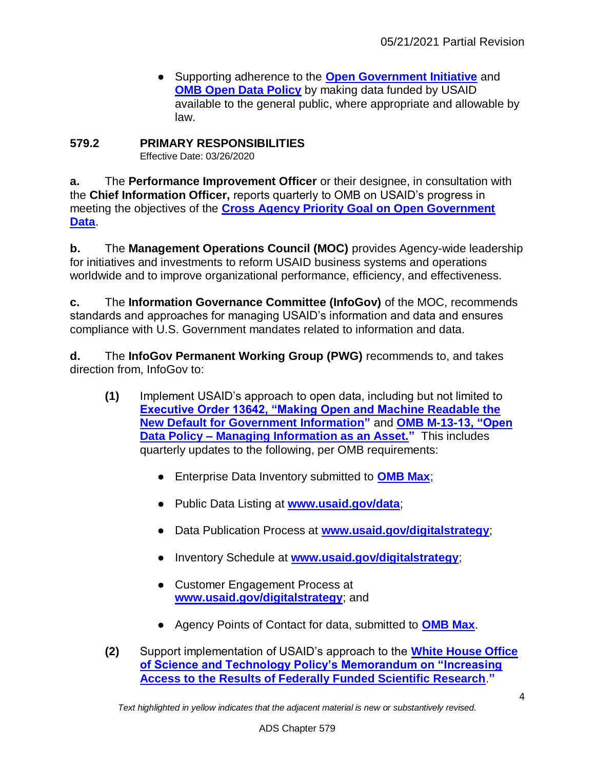● Supporting adherence to the **[Open Government Initiative](http://www.whitehouse.gov/open)** and **[OMB Open Data Policy](http://www.whitehouse.gov/sites/default/files/omb/memoranda/2013/m-13-13.pdf)** by making data funded by USAID available to the general public, where appropriate and allowable by law.

# <span id="page-3-0"></span>**579.2 PRIMARY RESPONSIBILITIES**

Effective Date: 03/26/2020

**a.** The **Performance Improvement Officer** or their designee, in consultation with the **Chief Information Officer,** reports quarterly to OMB on USAID's progress in meeting the objectives of the **[Cross Agency Priority Goal on Open Government](http://goals.performance.gov/node/49202)  [Data](http://goals.performance.gov/node/49202)**.

**b.** The **Management Operations Council (MOC)** provides Agency-wide leadership for initiatives and investments to reform USAID business systems and operations worldwide and to improve organizational performance, efficiency, and effectiveness.

**c.** The **Information Governance Committee (InfoGov)** of the MOC, recommends standards and approaches for managing USAID's information and data and ensures compliance with U.S. Government mandates related to information and data.

**d.** The **InfoGov Permanent Working Group (PWG)** recommends to, and takes direction from, InfoGov to:

- **(1)** Implement USAID's approach to open data, including but not limited to **[Executive Order 13642, "Making Open and Machine Readable the](http://www.whitehouse.gov/the-press-office/2013/05/09/executive-order-making-open-and-machine-readable-new-default-government-)  [New Default for Government Information"](http://www.whitehouse.gov/the-press-office/2013/05/09/executive-order-making-open-and-machine-readable-new-default-government-)** and **[OMB M-13-13, "Open](http://www.whitehouse.gov/sites/default/files/omb/memoranda/2013/m-13-13.pdf)  Data Policy – [Managing Information as an Asset."](http://www.whitehouse.gov/sites/default/files/omb/memoranda/2013/m-13-13.pdf)** This includes quarterly updates to the following, per OMB requirements:
	- Enterprise Data Inventory submitted to **[OMB Max](https://max.omb.gov/%E2%80%8E)**;
	- Public Data Listing at **[www.usaid.gov/data](http://www.usaid.gov/data)**;
	- Data Publication Process at **[www.usaid.gov/digitalstrategy](http://www.usaid.gov/digitalstrategy)**;
	- Inventory Schedule at **[www.usaid.gov/digitalstrategy](http://www.usaid.gov/digitalstrategy)**;
	- Customer Engagement Process at **[www.usaid.gov/digitalstrategy](http://www.usaid.gov/digitalstrategy)**; and
	- Agency Points of Contact for data, submitted to **[OMB Max](https://max.omb.gov/maxportal/)**.
- **(2)** Support implementation of USAID's approach to the **[White House Office](http://www.whitehouse.gov/sites/default/files/microsites/ostp/ostp_public_access_memo_2013.pdf)  [of Science and Technology Policy's Memorandum on "Increasing](http://www.whitehouse.gov/sites/default/files/microsites/ostp/ostp_public_access_memo_2013.pdf)  [Access to the Results of Federally Funded Scientific Research](http://www.whitehouse.gov/sites/default/files/microsites/ostp/ostp_public_access_memo_2013.pdf)**[.](http://www.whitehouse.gov/sites/default/files/microsites/ostp/ostp_public_access_memo_2013.pdf)**["](http://www.whitehouse.gov/sites/default/files/microsites/ostp/ostp_public_access_memo_2013.pdf)**

*Text highlighted in yellow indicates that the adjacent material is new or substantively revised.*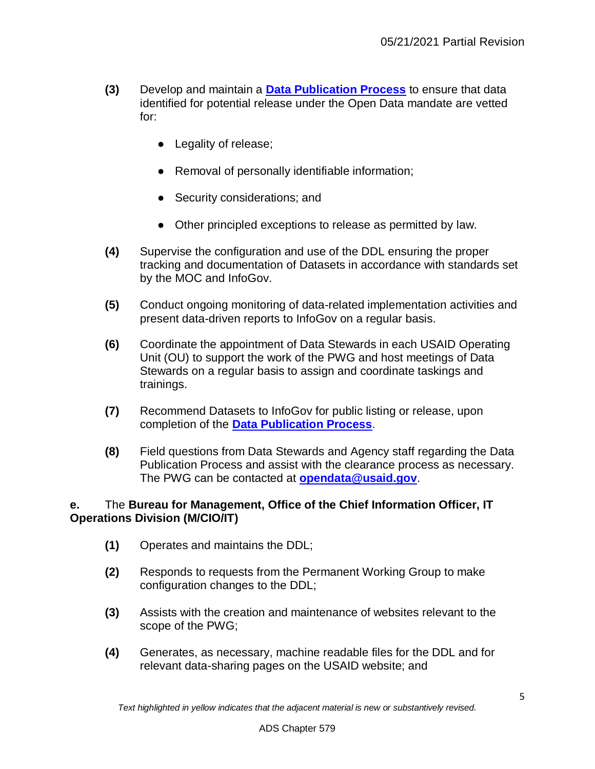- **(3)** Develop and maintain a **[Data Publication Process](https://www.usaid.gov/documents/1880/data-publication-process)** to ensure that data identified for potential release under the Open Data mandate are vetted for:
	- Legality of release;
	- Removal of personally identifiable information;
	- Security considerations; and
	- Other principled exceptions to release as permitted by law.
- **(4)** Supervise the configuration and use of the DDL ensuring the proper tracking and documentation of Datasets in accordance with standards set by the MOC and InfoGov.
- **(5)** Conduct ongoing monitoring of data-related implementation activities and present data-driven reports to InfoGov on a regular basis.
- **(6)** Coordinate the appointment of Data Stewards in each USAID Operating Unit (OU) to support the work of the PWG and host meetings of Data Stewards on a regular basis to assign and coordinate taskings and trainings.
- **(7)** Recommend Datasets to InfoGov for public listing or release, upon completion of the **[Data Publication Process](https://www.usaid.gov/documents/1880/data-publication-process)**.
- **(8)** Field questions from Data Stewards and Agency staff regarding the Data Publication Process and assist with the clearance process as necessary. The PWG can be contacted at **[opendata@usaid.gov](mailto:opendata@usaid.gov)**.

#### **e.** The **Bureau for Management, Office of the Chief Information Officer, IT Operations Division (M/CIO/IT)**

- **(1)** Operates and maintains the DDL;
- **(2)** Responds to requests from the Permanent Working Group to make configuration changes to the DDL;
- **(3)** Assists with the creation and maintenance of websites relevant to the scope of the PWG;
- **(4)** Generates, as necessary, machine readable files for the DDL and for relevant data-sharing pages on the USAID website; and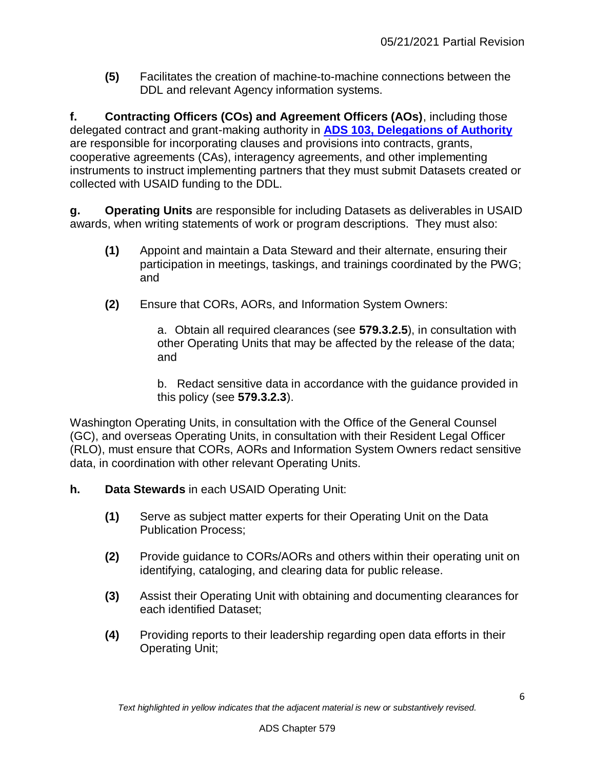**(5)** Facilitates the creation of machine-to-machine connections between the DDL and relevant Agency information systems.

**f. Contracting Officers (COs) and Agreement Officers (AOs)**, including those delegated contract and grant-making authority in **[ADS 103, Delegations of Authority](http://www.usaid.gov/ads/policy/100/103)** are responsible for incorporating clauses and provisions into contracts, grants, cooperative agreements (CAs), interagency agreements, and other implementing instruments to instruct implementing partners that they must submit Datasets created or collected with USAID funding to the DDL.

**g. Operating Units** are responsible for including Datasets as deliverables in USAID awards, when writing statements of work or program descriptions. They must also:

- **(1)** Appoint and maintain a Data Steward and their alternate, ensuring their participation in meetings, taskings, and trainings coordinated by the PWG; and
- **(2)** Ensure that CORs, AORs, and Information System Owners:

a. Obtain all required clearances (see **579.3.2.5**), in consultation with other Operating Units that may be affected by the release of the data; and

b. Redact sensitive data in accordance with the guidance provided in this policy (see **579.3.2.3**).

Washington Operating Units, in consultation with the Office of the General Counsel (GC), and overseas Operating Units, in consultation with their Resident Legal Officer (RLO), must ensure that CORs, AORs and Information System Owners redact sensitive data, in coordination with other relevant Operating Units.

- **h. Data Stewards** in each USAID Operating Unit:
	- **(1)** Serve as subject matter experts for their Operating Unit on the Data Publication Process;
	- **(2)** Provide guidance to CORs/AORs and others within their operating unit on identifying, cataloging, and clearing data for public release.
	- **(3)** Assist their Operating Unit with obtaining and documenting clearances for each identified Dataset;
	- **(4)** Providing reports to their leadership regarding open data efforts in their Operating Unit;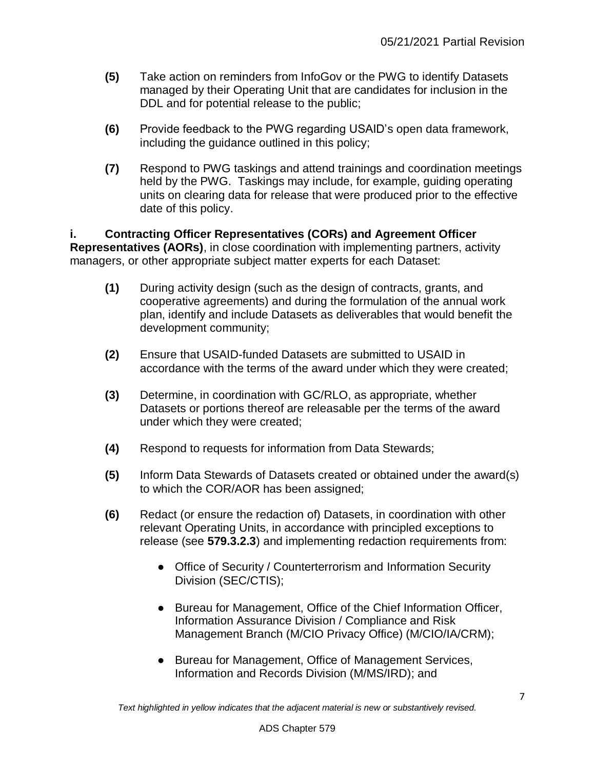- **(5)** Take action on reminders from InfoGov or the PWG to identify Datasets managed by their Operating Unit that are candidates for inclusion in the DDL and for potential release to the public;
- **(6)** Provide feedback to the PWG regarding USAID's open data framework, including the guidance outlined in this policy;
- **(7)** Respond to PWG taskings and attend trainings and coordination meetings held by the PWG. Taskings may include, for example, guiding operating units on clearing data for release that were produced prior to the effective date of this policy.

**i. Contracting Officer Representatives (CORs) and Agreement Officer Representatives (AORs)**, in close coordination with implementing partners, activity managers, or other appropriate subject matter experts for each Dataset:

- **(1)** During activity design (such as the design of contracts, grants, and cooperative agreements) and during the formulation of the annual work plan, identify and include Datasets as deliverables that would benefit the development community;
- **(2)** Ensure that USAID-funded Datasets are submitted to USAID in accordance with the terms of the award under which they were created;
- **(3)** Determine, in coordination with GC/RLO, as appropriate, whether Datasets or portions thereof are releasable per the terms of the award under which they were created;
- **(4)** Respond to requests for information from Data Stewards;
- **(5)** Inform Data Stewards of Datasets created or obtained under the award(s) to which the COR/AOR has been assigned;
- **(6)** Redact (or ensure the redaction of) Datasets, in coordination with other relevant Operating Units, in accordance with principled exceptions to release (see **579.3.2.3**) and implementing redaction requirements from:
	- Office of Security / Counterterrorism and Information Security Division (SEC/CTIS);
	- Bureau for Management, Office of the Chief Information Officer, Information Assurance Division / Compliance and Risk Management Branch (M/CIO Privacy Office) (M/CIO/IA/CRM);
	- Bureau for Management, Office of Management Services, Information and Records Division (M/MS/IRD); and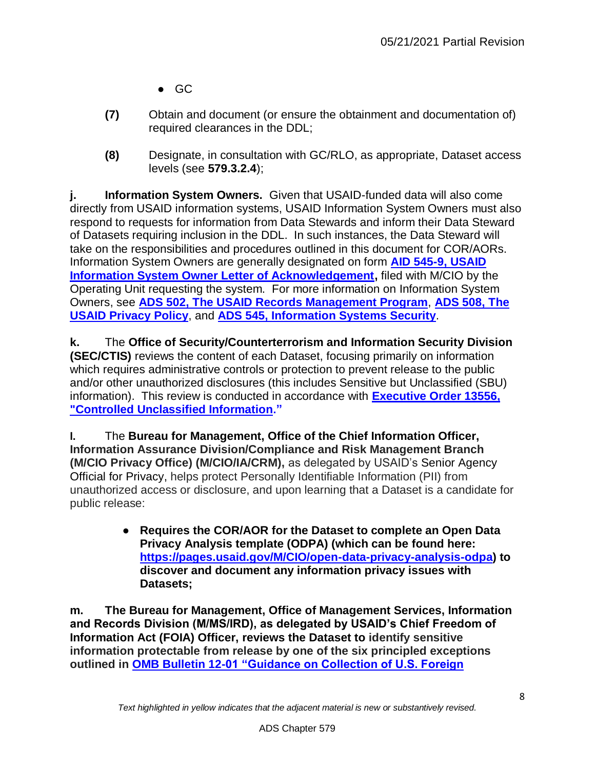- $\bullet$  GC
- **(7)** Obtain and document (or ensure the obtainment and documentation of) required clearances in the DDL;
- **(8)** Designate, in consultation with GC/RLO, as appropriate, Dataset access levels (see **579.3.2.4**);

**j. Information System Owners.** Given that USAID-funded data will also come directly from USAID information systems, USAID Information System Owners must also respond to requests for information from Data Stewards and inform their Data Steward of Datasets requiring inclusion in the DDL. In such instances, the Data Steward will take on the responsibilities and procedures outlined in this document for COR/AORs. Information System Owners are generally designated on form **[AID 545-9, USAID](http://www.usaid.gov/forms)  [Information System Owner Letter of Acknowledgement,](http://www.usaid.gov/forms)** filed with M/CIO by the Operating Unit requesting the system. For more information on Information System Owners, see **[ADS 502, The USAID Records Management Program](http://www.usaid.gov/ads/policy/500/502)**, **[ADS 508,](http://www.usaid.gov/ads/policy/500/508) [The](http://www.usaid.gov/ads/policy/500/508)  [USAID Privacy Policy](http://www.usaid.gov/ads/policy/500/508)**, and **[ADS 545, Information Systems Security](http://www.usaid.gov/ads/policy/500/545)**.

**k.** The **Office of Security/Counterterrorism and Information Security Division (SEC/CTIS)** reviews the content of each Dataset, focusing primarily on information which requires administrative controls or protection to prevent release to the public and/or other unauthorized disclosures (this includes Sensitive but Unclassified (SBU) information). This review is conducted in accordance with **[Executive Order 13556,](http://www.whitehouse.gov/the-press-office/2010/11/04/executive-order-controlled-unclassified-information)  ["Controlled Unclassified Information."](http://www.whitehouse.gov/the-press-office/2010/11/04/executive-order-controlled-unclassified-information)**

**l.** The **Bureau for Management, Office of the Chief Information Officer, Information Assurance Division/Compliance and Risk Management Branch (M/CIO Privacy Office) (M/CIO/IA/CRM),** as delegated by USAID's Senior Agency Official for Privacy, helps protect Personally Identifiable Information (PII) from unauthorized access or disclosure, and upon learning that a Dataset is a candidate for public release:

> ● **Requires the COR/AOR for the Dataset to complete an Open Data Privacy Analysis template (ODPA) (which can be found here: [https://pages.usaid.gov/M/CIO/open-data-privacy-analysis-odpa\)](https://pages.usaid.gov/M/CIO/open-data-privacy-analysis-odpa) to discover and document any information privacy issues with Datasets;**

**m. The Bureau for Management, Office of Management Services, Information and Records Division (M/MS/IRD), as delegated by USAID's Chief Freedom of Information Act (FOIA) Officer, reviews the Dataset to identify sensitive information protectable from release by one of the six principled exceptions outlined in [OMB Bulletin 12-01 "Guidance on Collection of U.S. Foreign](http://www.whitehouse.gov/sites/default/files/omb/bulletins/fy2012/b12-01.pdf)**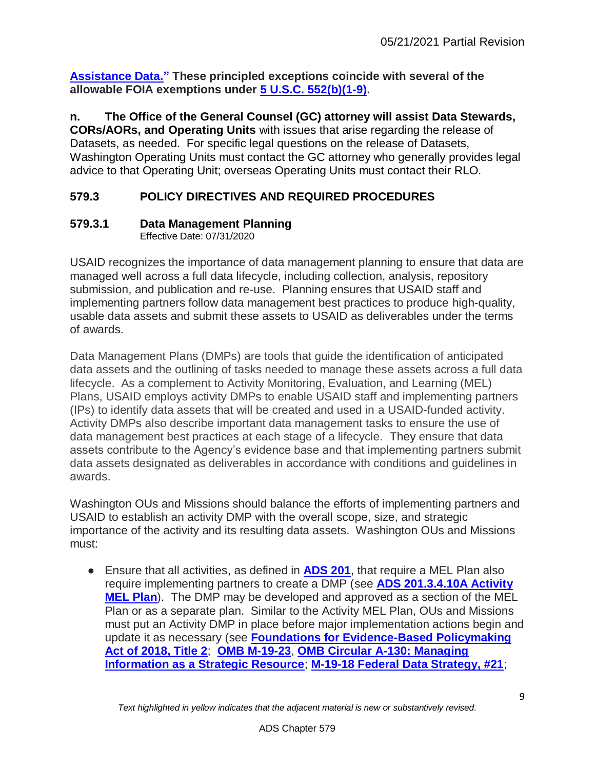**[Assistance Data."](http://www.whitehouse.gov/sites/default/files/omb/bulletins/fy2012/b12-01.pdf) These principled exceptions coincide with several of the allowable FOIA exemptions under [5 U.S.C. 552\(b\)\(1-9\).](http://uscode.house.gov/view.xhtml?req=(title:5%20section:552%20edition:prelim)%20OR%20(granuleid:USC-prelim-title5-section552)&f=treesort&edition=prelim&num=0&jumpTo=true)**

**n. The Office of the General Counsel (GC) attorney will assist Data Stewards, CORs/AORs, and Operating Units** with issues that arise regarding the release of Datasets, as needed. For specific legal questions on the release of Datasets, Washington Operating Units must contact the GC attorney who generally provides legal advice to that Operating Unit; overseas Operating Units must contact their RLO.

# <span id="page-8-0"></span>**579.3 POLICY DIRECTIVES AND REQUIRED PROCEDURES**

## <span id="page-8-1"></span>**579.3.1 Data Management Planning**

Effective Date: 07/31/2020

USAID recognizes the importance of data management planning to ensure that data are managed well across a full data lifecycle, including collection, analysis, repository submission, and publication and re-use. Planning ensures that USAID staff and implementing partners follow data management best practices to produce high-quality, usable data assets and submit these assets to USAID as deliverables under the terms of awards.

Data Management Plans (DMPs) are tools that guide the identification of anticipated data assets and the outlining of tasks needed to manage these assets across a full data lifecycle. As a complement to Activity Monitoring, Evaluation, and Learning (MEL) Plans, USAID employs activity DMPs to enable USAID staff and implementing partners (IPs) to identify data assets that will be created and used in a USAID-funded activity. Activity DMPs also describe important data management tasks to ensure the use of data management best practices at each stage of a lifecycle. They ensure that data assets contribute to the Agency's evidence base and that implementing partners submit data assets designated as deliverables in accordance with conditions and guidelines in awards.

Washington OUs and Missions should balance the efforts of implementing partners and USAID to establish an activity DMP with the overall scope, size, and strategic importance of the activity and its resulting data assets. Washington OUs and Missions must:

● Ensure that all activities, as defined in **[ADS 201](http://www.usaid.gov/ads/policy/200/201)**, that require a MEL Plan also require implementing partners to create a DMP (see **ADS [201.3.4.10A Activity](http://www.usaid.gov/ads/policy/200/201)  [MEL Plan](http://www.usaid.gov/ads/policy/200/201)**). The DMP may be developed and approved as a section of the MEL Plan or as a separate plan. Similar to the Activity MEL Plan, OUs and Missions must put an Activity DMP in place before major implementation actions begin and update it as necessary (see **[Foundations for Evidence-Based Policymaking](https://www.congress.gov/115/plaws/publ435/PLAW-115publ435.pdf)  [Act of 2018, Title 2](https://www.congress.gov/115/plaws/publ435/PLAW-115publ435.pdf)**; **[OMB M-19-23](https://www.whitehouse.gov/wp-content/uploads/2019/07/M-19-23.pdf)**, **[OMB Circular A-130: Managing](https://www.whitehouse.gov/sites/whitehouse.gov/files/omb/circulars/A130/a130revised.pdf)  [Information as a Strategic Resource](https://www.whitehouse.gov/sites/whitehouse.gov/files/omb/circulars/A130/a130revised.pdf)**; **[M-19-18 Federal Data Strategy, #21](https://www.whitehouse.gov/wp-content/uploads/2019/06/M-19-18.pdf)**;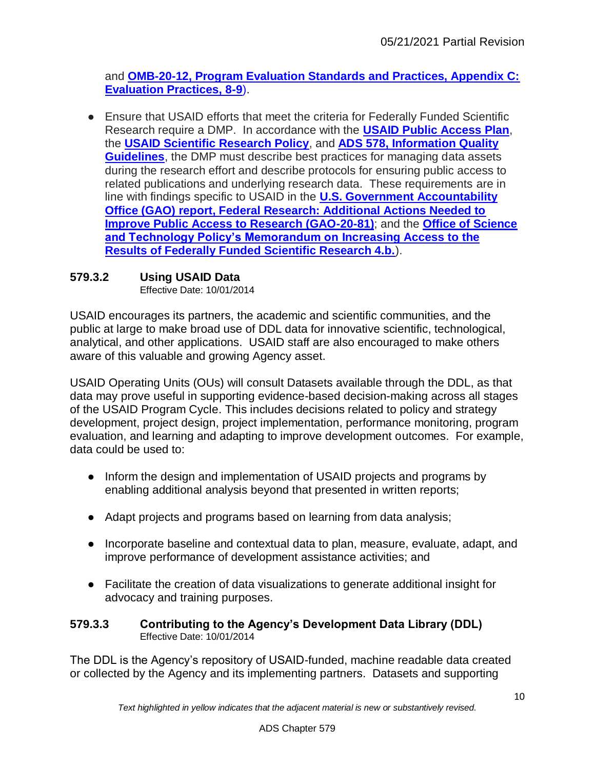and **[OMB-20-12, Program Evaluation Standards and Practices, Appendix C:](https://www.whitehouse.gov/wp-content/uploads/2020/03/M-20-12.pdf)  [Evaluation Practices, 8-9](https://www.whitehouse.gov/wp-content/uploads/2020/03/M-20-12.pdf)**[\).](https://www.whitehouse.gov/wp-content/uploads/2020/03/M-20-12.pdf)

● Ensure that USAID efforts that meet the criteria for Federally Funded Scientific Research require a DMP. In accordance with the **[USAID Public Access Plan](https://www.usaid.gov/open/public-access-plan)**, the **[USAID Scientific Research Policy](https://www.usaid.gov/policy/scientific-research)**, and **ADS 578, [Information Quality](https://www.usaid.gov/ads/policy/500/578)  [Guidelines](https://www.usaid.gov/ads/policy/500/578)**, the DMP must describe best practices for managing data assets during the research effort and describe protocols for ensuring public access to related publications and underlying research data. These requirements are in line with findings specific to USAID in the **[U.S. Government Accountability](https://www.gao.gov/assets/710/702847.pdf)  [Office \(GAO\) report, Federal Research: Additional Actions Needed to](https://www.gao.gov/assets/710/702847.pdf)  [Improve Public Access to Research \(GAO-20-81\)](https://www.gao.gov/assets/710/702847.pdf)**; and the **[Office of Science](https://obamawhitehouse.archives.gov/sites/default/files/microsites/ostp/ostp_public_access_memo_2013.pdf)  [and Technology Policy's Memorandum on](https://obamawhitehouse.archives.gov/sites/default/files/microsites/ostp/ostp_public_access_memo_2013.pdf) Increasing Access to the [Results of Federally Funded Scientific Research 4.b.](https://obamawhitehouse.archives.gov/sites/default/files/microsites/ostp/ostp_public_access_memo_2013.pdf)**).

## <span id="page-9-0"></span>**579.3.2 Using USAID Data**

Effective Date: 10/01/2014

USAID encourages its partners, the academic and scientific communities, and the public at large to make broad use of DDL data for innovative scientific, technological, analytical, and other applications. USAID staff are also encouraged to make others aware of this valuable and growing Agency asset.

USAID Operating Units (OUs) will consult Datasets available through the DDL, as that data may prove useful in supporting evidence-based decision-making across all stages of the USAID Program Cycle. This includes decisions related to policy and strategy development, project design, project implementation, performance monitoring, program evaluation, and learning and adapting to improve development outcomes. For example, data could be used to:

- Inform the design and implementation of USAID projects and programs by enabling additional analysis beyond that presented in written reports;
- Adapt projects and programs based on learning from data analysis;
- Incorporate baseline and contextual data to plan, measure, evaluate, adapt, and improve performance of development assistance activities; and
- Facilitate the creation of data visualizations to generate additional insight for advocacy and training purposes.

#### <span id="page-9-1"></span>**579.3.3 Contributing to the Agency's Development Data Library (DDL)** Effective Date: 10/01/2014

The DDL is the Agency's repository of USAID-funded, machine readable data created or collected by the Agency and its implementing partners. Datasets and supporting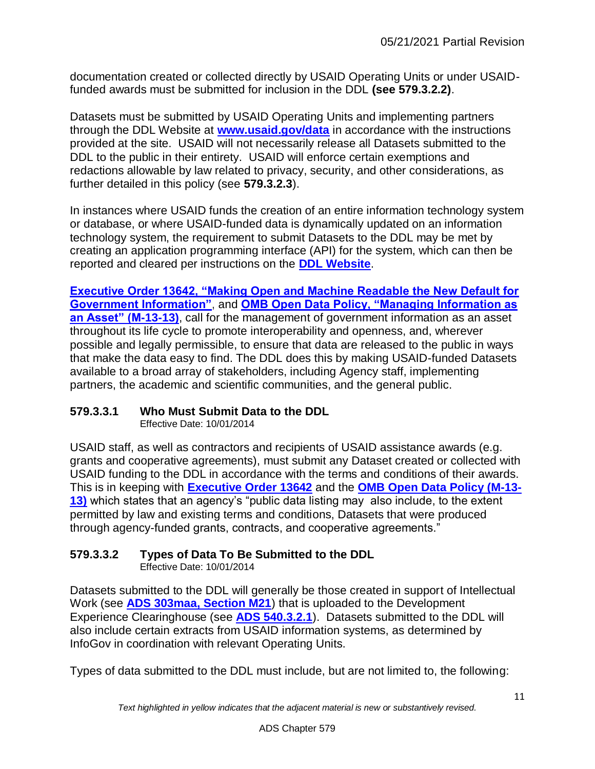documentation created or collected directly by USAID Operating Units or under USAIDfunded awards must be submitted for inclusion in the DDL **(see 579.3.2.2)**.

Datasets must be submitted by USAID Operating Units and implementing partners through the DDL Website at **[www.usaid.gov/data](http://www.usaid.gov/data)** in accordance with the instructions provided at the site. USAID will not necessarily release all Datasets submitted to the DDL to the public in their entirety. USAID will enforce certain exemptions and redactions allowable by law related to privacy, security, and other considerations, as further detailed in this policy (see **579.3.2.3**).

In instances where USAID funds the creation of an entire information technology system or database, or where USAID-funded data is dynamically updated on an information technology system, the requirement to submit Datasets to the DDL may be met by creating an application programming interface (API) for the system, which can then be reported and cleared per instructions on the **[DDL Website](http://www.usaid.gov/data)**.

**[Executive Order 13642, "Making Open and Machine Readable the New Default for](http://www.whitehouse.gov/the-press-office/2013/05/09/executive-order-making-open-and-machine-readable-new-default-government-)  [Government Information"](http://www.whitehouse.gov/the-press-office/2013/05/09/executive-order-making-open-and-machine-readable-new-default-government-)**, and **[OMB Open Data Policy, "Managing Information as](http://www.whitehouse.gov/sites/default/files/omb/memoranda/2013/m-13-13.pdf)  [an Asset" \(M-13-13\)](http://www.whitehouse.gov/sites/default/files/omb/memoranda/2013/m-13-13.pdf)**, call for the management of government information as an asset throughout its life cycle to promote interoperability and openness, and, wherever possible and legally permissible, to ensure that data are released to the public in ways that make the data easy to find. The DDL does this by making USAID-funded Datasets available to a broad array of stakeholders, including Agency staff, implementing partners, the academic and scientific communities, and the general public.

## <span id="page-10-0"></span>**579.3.3.1 Who Must Submit Data to the DDL**

Effective Date: 10/01/2014

USAID staff, as well as contractors and recipients of USAID assistance awards (e.g. grants and cooperative agreements), must submit any Dataset created or collected with USAID funding to the DDL in accordance with the terms and conditions of their awards. This is in keeping with **[Executive Order 13642](http://www.whitehouse.gov/the-press-office/2013/05/09/executive-order-making-open-and-machine-readable-new-default-government-)** and the **[OMB Open Data Policy \(M-13-](http://www.whitehouse.gov/sites/default/files/omb/memoranda/2013/m-13-13.pdf) [13\)](http://www.whitehouse.gov/sites/default/files/omb/memoranda/2013/m-13-13.pdf)** which states that an agency's "public data listing may also include, to the extent permitted by law and existing terms and conditions, Datasets that were produced through agency-funded grants, contracts, and cooperative agreements."

## <span id="page-10-1"></span>**579.3.3.2 Types of Data To Be Submitted to the DDL**

Effective Date: 10/01/2014

Datasets submitted to the DDL will generally be those created in support of Intellectual Work (see **[ADS 303maa, Section M21](http://www.usaid.gov/ads/policy/300/303maa)**) that is uploaded to the Development Experience Clearinghouse (see **[ADS 540.3.2.1](http://www.usaid.gov/ads/policy/500/540)**). Datasets submitted to the DDL will also include certain extracts from USAID information systems, as determined by InfoGov in coordination with relevant Operating Units.

Types of data submitted to the DDL must include, but are not limited to, the following: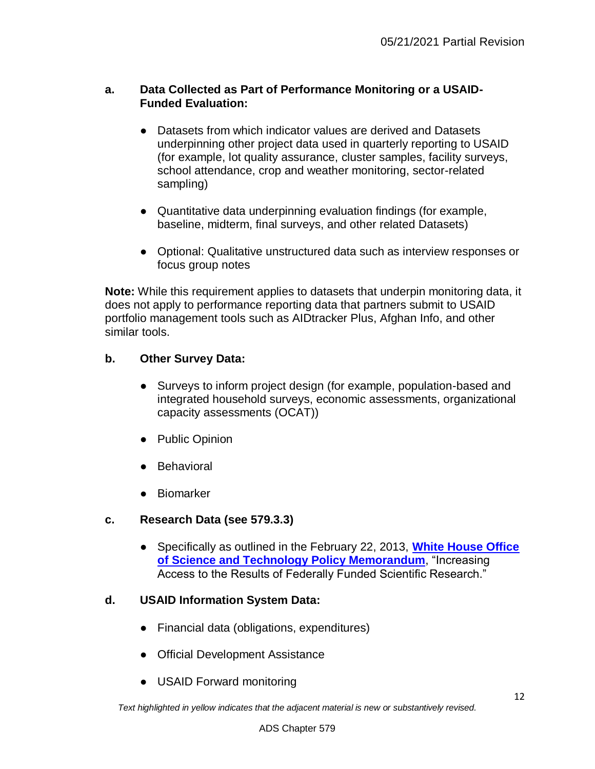## **a. Data Collected as Part of Performance Monitoring or a USAID-Funded Evaluation:**

- Datasets from which indicator values are derived and Datasets underpinning other project data used in quarterly reporting to USAID (for example, lot quality assurance, cluster samples, facility surveys, school attendance, crop and weather monitoring, sector-related sampling)
- Quantitative data underpinning evaluation findings (for example, baseline, midterm, final surveys, and other related Datasets)
- Optional: Qualitative unstructured data such as interview responses or focus group notes

**Note:** While this requirement applies to datasets that underpin monitoring data, it does not apply to performance reporting data that partners submit to USAID portfolio management tools such as AIDtracker Plus, Afghan Info, and other similar tools.

## **b. Other Survey Data:**

- Surveys to inform project design (for example, population-based and integrated household surveys, economic assessments, organizational capacity assessments (OCAT))
- Public Opinion
- Behavioral
- Biomarker

## **c. Research Data (see 579.3.3)**

● Specifically as outlined in the February 22, 2013, **[White House Office](http://www.whitehouse.gov/sites/default/files/microsites/ostp/ostp_public_access_memo_2013.pdf)  [of Science and Technology Policy Memorandum](http://www.whitehouse.gov/sites/default/files/microsites/ostp/ostp_public_access_memo_2013.pdf)**, "Increasing Access to the Results of Federally Funded Scientific Research."

## **d. USAID Information System Data:**

- Financial data (obligations, expenditures)
- Official Development Assistance
- USAID Forward monitoring

*Text highlighted in yellow indicates that the adjacent material is new or substantively revised.*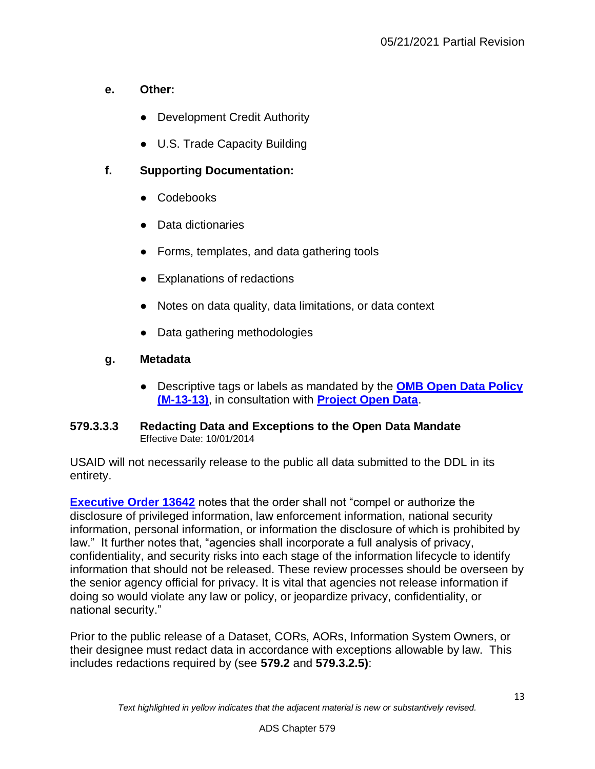## **e. Other:**

- Development Credit Authority
- U.S. Trade Capacity Building

## **f. Supporting Documentation:**

- Codebooks
- Data dictionaries
- Forms, templates, and data gathering tools
- Explanations of redactions
- Notes on data quality, data limitations, or data context
- Data gathering methodologies

## **g. Metadata**

● Descriptive tags or labels as mandated by the **[OMB Open Data Policy](http://www.whitehouse.gov/sites/default/files/omb/memoranda/2013/m-13-13.pdf)  [\(M-13-13\)](http://www.whitehouse.gov/sites/default/files/omb/memoranda/2013/m-13-13.pdf)**, in consultation with **[Project Open Data](http://project-open-data.github.io/schema/)**.

#### <span id="page-12-0"></span>**579.3.3.3 Redacting Data and Exceptions to the Open Data Mandate** Effective Date: 10/01/2014

USAID will not necessarily release to the public all data submitted to the DDL in its entirety.

**[Executive Order 13642](http://www.whitehouse.gov/the-press-office/2013/05/09/executive-order-making-open-and-machine-readable-new-default-government-)** notes that the order shall not "compel or authorize the disclosure of privileged information, law enforcement information, national security information, personal information, or information the disclosure of which is prohibited by law." It further notes that, "agencies shall incorporate a full analysis of privacy, confidentiality, and security risks into each stage of the information lifecycle to identify information that should not be released. These review processes should be overseen by the senior agency official for privacy. It is vital that agencies not release information if doing so would violate any law or policy, or jeopardize privacy, confidentiality, or national security."

Prior to the public release of a Dataset, CORs, AORs, Information System Owners, or their designee must redact data in accordance with exceptions allowable by law. This includes redactions required by (see **579.2** and **579.3.2.5)**: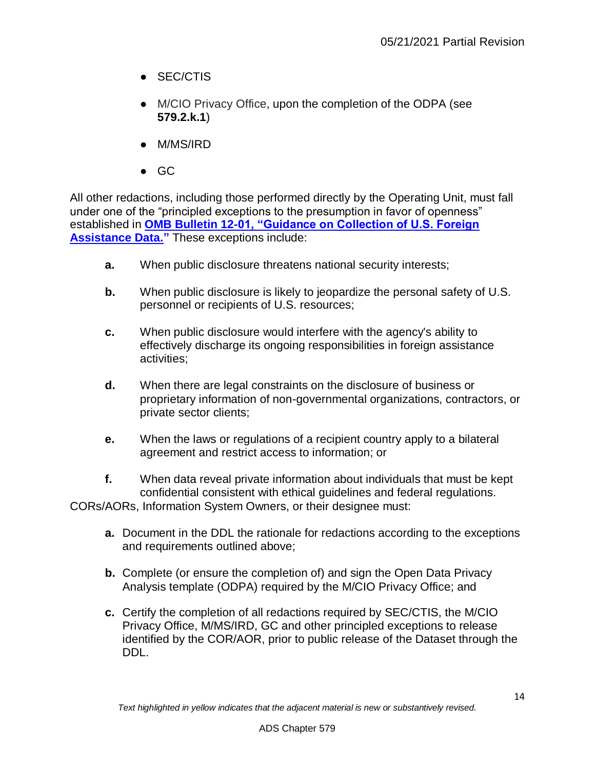- SEC/CTIS
- M/CIO Privacy Office, upon the completion of the ODPA (see **579.2.k.1**)
- M/MS/IRD
- GC

All other redactions, including those performed directly by the Operating Unit, must fall under one of the "principled exceptions to the presumption in favor of openness" established in **[OMB Bulletin 12-01, "Guidance on Collection of U.S. Foreign](http://www.whitehouse.gov/sites/default/files/omb/bulletins/fy2012/b12-01.pdf)  [Assistance Data."](http://www.whitehouse.gov/sites/default/files/omb/bulletins/fy2012/b12-01.pdf)** These exceptions include:

- **a.** When public disclosure threatens national security interests;
- **b.** When public disclosure is likely to jeopardize the personal safety of U.S. personnel or recipients of U.S. resources;
- **c.** When public disclosure would interfere with the agency's ability to effectively discharge its ongoing responsibilities in foreign assistance activities;
- **d.** When there are legal constraints on the disclosure of business or proprietary information of non-governmental organizations, contractors, or private sector clients;
- **e.** When the laws or regulations of a recipient country apply to a bilateral agreement and restrict access to information; or

**f.** When data reveal private information about individuals that must be kept confidential consistent with ethical guidelines and federal regulations. CORs/AORs, Information System Owners, or their designee must:

- **a.** Document in the DDL the rationale for redactions according to the exceptions and requirements outlined above;
- **b.** Complete (or ensure the completion of) and sign the Open Data Privacy Analysis template (ODPA) required by the M/CIO Privacy Office; and
- **c.** Certify the completion of all redactions required by SEC/CTIS, the M/CIO Privacy Office, M/MS/IRD, GC and other principled exceptions to release identified by the COR/AOR, prior to public release of the Dataset through the DDL.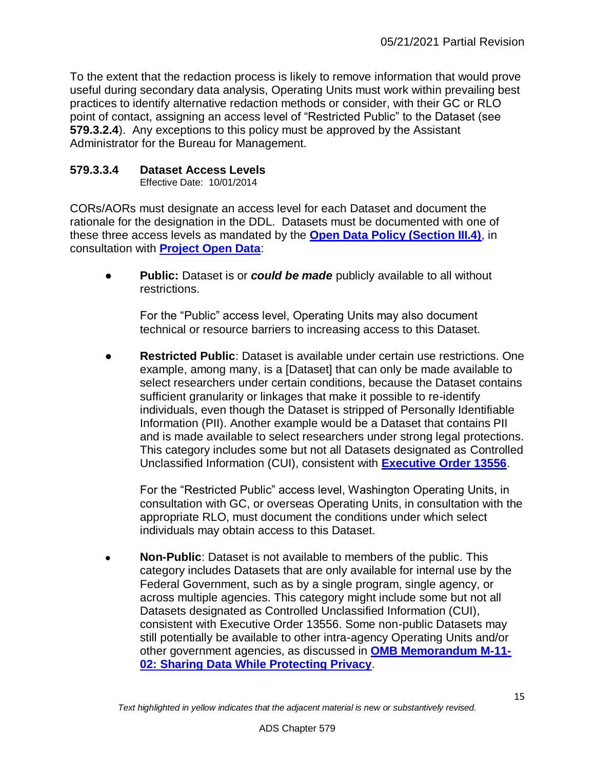To the extent that the redaction process is likely to remove information that would prove useful during secondary data analysis, Operating Units must work within prevailing best practices to identify alternative redaction methods or consider, with their GC or RLO point of contact, assigning an access level of "Restricted Public" to the Dataset (see **579.3.2.4**). Any exceptions to this policy must be approved by the Assistant Administrator for the Bureau for Management.

## <span id="page-14-0"></span>**579.3.3.4 Dataset Access Levels**

Effective Date: 10/01/2014

CORs/AORs must designate an access level for each Dataset and document the rationale for the designation in the DDL. Datasets must be documented with one of these three access levels as mandated by the **[Open Data Policy \(Section III.4\)](http://www.whitehouse.gov/sites/default/files/omb/memoranda/2013/m-13-13.pdf)**, in consultation with **[Project Open Data](http://project-open-data.github.io/implementation-guide/)**:

● **Public:** Dataset is or *could be made* publicly available to all without restrictions.

For the "Public" access level, Operating Units may also document technical or resource barriers to increasing access to this Dataset.

**Restricted Public**: Dataset is available under certain use restrictions. One example, among many, is a [Dataset] that can only be made available to select researchers under certain conditions, because the Dataset contains sufficient granularity or linkages that make it possible to re-identify individuals, even though the Dataset is stripped of Personally Identifiable Information (PII). Another example would be a Dataset that contains PII and is made available to select researchers under strong legal protections. This category includes some but not all Datasets designated as Controlled Unclassified Information (CUI), consistent with **[Executive Order 13556](http://www.whitehouse.gov/the-press-office/2010/11/04/executive-order-controlled-unclassified-information)**.

For the "Restricted Public" access level, Washington Operating Units, in consultation with GC, or overseas Operating Units, in consultation with the appropriate RLO, must document the conditions under which select individuals may obtain access to this Dataset.

**Non-Public:** Dataset is not available to members of the public. This category includes Datasets that are only available for internal use by the Federal Government, such as by a single program, single agency, or across multiple agencies. This category might include some but not all Datasets designated as Controlled Unclassified Information (CUI), consistent with Executive Order 13556. Some non-public Datasets may still potentially be available to other intra-agency Operating Units and/or other government agencies, as discussed in **[OMB Memorandum M-11-](http://www.whitehouse.gov/sites/default/files/omb/memoranda/2011/m11-02.pdf) [02: Sharing Data While Protecting Privacy](http://www.whitehouse.gov/sites/default/files/omb/memoranda/2011/m11-02.pdf)**.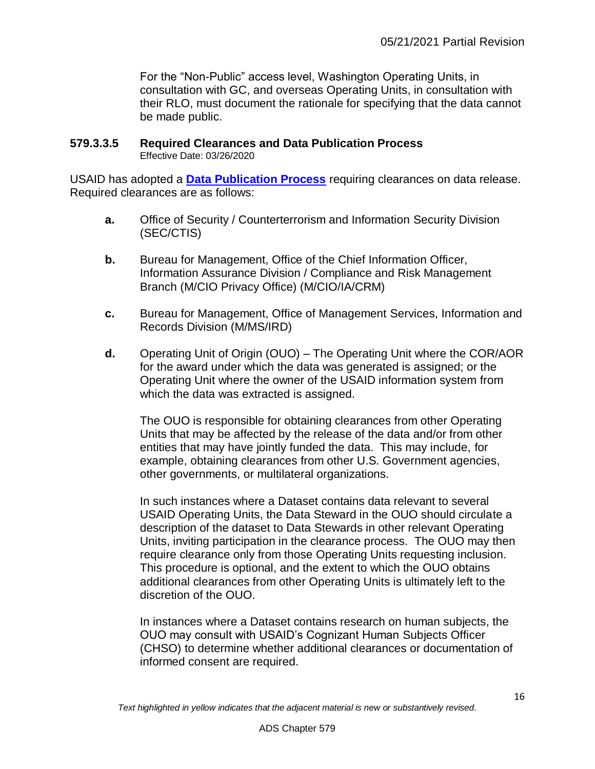For the "Non-Public" access level, Washington Operating Units, in consultation with GC, and overseas Operating Units, in consultation with their RLO, must document the rationale for specifying that the data cannot be made public.

# <span id="page-15-0"></span>**579.3.3.5 Required Clearances and Data Publication Process**

Effective Date: 03/26/2020

USAID has adopted a **[Data Publication Process](https://www.usaid.gov/documents/1880/data-publication-process)** requiring clearances on data release. Required clearances are as follows:

- **a.** Office of Security / Counterterrorism and Information Security Division (SEC/CTIS)
- **b.** Bureau for Management, Office of the Chief Information Officer, Information Assurance Division / Compliance and Risk Management Branch (M/CIO Privacy Office) (M/CIO/IA/CRM)
- **c.** Bureau for Management, Office of Management Services, Information and Records Division (M/MS/IRD)
- **d.** Operating Unit of Origin (OUO) The Operating Unit where the COR/AOR for the award under which the data was generated is assigned; or the Operating Unit where the owner of the USAID information system from which the data was extracted is assigned.

The OUO is responsible for obtaining clearances from other Operating Units that may be affected by the release of the data and/or from other entities that may have jointly funded the data. This may include, for example, obtaining clearances from other U.S. Government agencies, other governments, or multilateral organizations.

In such instances where a Dataset contains data relevant to several USAID Operating Units, the Data Steward in the OUO should circulate a description of the dataset to Data Stewards in other relevant Operating Units, inviting participation in the clearance process. The OUO may then require clearance only from those Operating Units requesting inclusion. This procedure is optional, and the extent to which the OUO obtains additional clearances from other Operating Units is ultimately left to the discretion of the OUO.

In instances where a Dataset contains research on human subjects, the OUO may consult with USAID's Cognizant Human Subjects Officer (CHSO) to determine whether additional clearances or documentation of informed consent are required.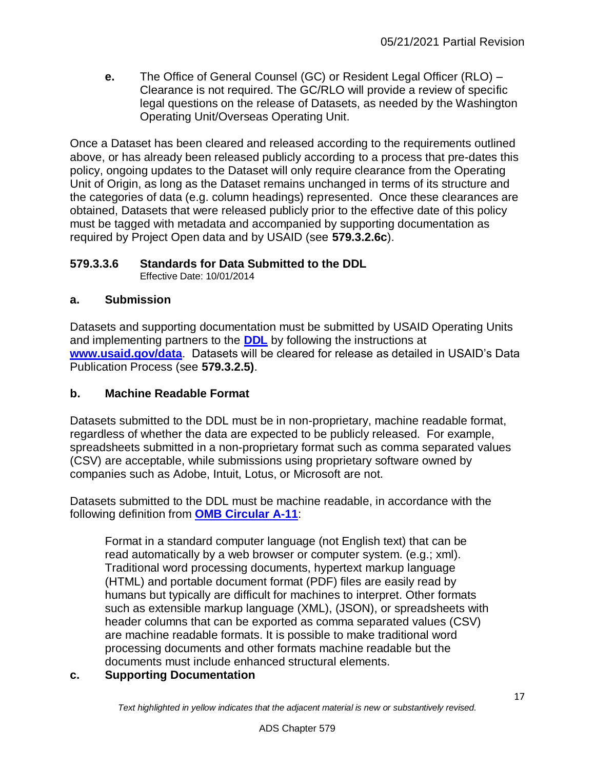**e.** The Office of General Counsel (GC) or Resident Legal Officer (RLO) – Clearance is not required. The GC/RLO will provide a review of specific legal questions on the release of Datasets, as needed by the Washington Operating Unit/Overseas Operating Unit.

Once a Dataset has been cleared and released according to the requirements outlined above, or has already been released publicly according to a process that pre-dates this policy, ongoing updates to the Dataset will only require clearance from the Operating Unit of Origin, as long as the Dataset remains unchanged in terms of its structure and the categories of data (e.g. column headings) represented. Once these clearances are obtained, Datasets that were released publicly prior to the effective date of this policy must be tagged with metadata and accompanied by supporting documentation as required by Project Open data and by USAID (see **579.3.2.6c**).

## <span id="page-16-0"></span>**579.3.3.6 Standards for Data Submitted to the DDL**

Effective Date: 10/01/2014

## **a. Submission**

Datasets and supporting documentation must be submitted by USAID Operating Units and implementing partners to the **[DDL](http://www.usaid.gov/data)** by following the instructions at **[www.usaid.gov/data](http://www.usaid.gov/data)**. Datasets will be cleared for release as detailed in USAID's Data Publication Process (see **579.3.2.5)**.

## **b. Machine Readable Format**

Datasets submitted to the DDL must be in non-proprietary, machine readable format, regardless of whether the data are expected to be publicly released. For example, spreadsheets submitted in a non-proprietary format such as comma separated values (CSV) are acceptable, while submissions using proprietary software owned by companies such as Adobe, Intuit, Lotus, or Microsoft are not.

Datasets submitted to the DDL must be machine readable, in accordance with the following definition from **[OMB Circular A-11](http://www.whitehouse.gov/sites/default/files/omb/assets/a11_current_year/s200.pdf)**:

Format in a standard computer language (not English text) that can be read automatically by a web browser or computer system. (e.g.; xml). Traditional word processing documents, hypertext markup language (HTML) and portable document format (PDF) files are easily read by humans but typically are difficult for machines to interpret. Other formats such as extensible markup language (XML), (JSON), or spreadsheets with header columns that can be exported as comma separated values (CSV) are machine readable formats. It is possible to make traditional word processing documents and other formats machine readable but the documents must include enhanced structural elements.

## **c. Supporting Documentation**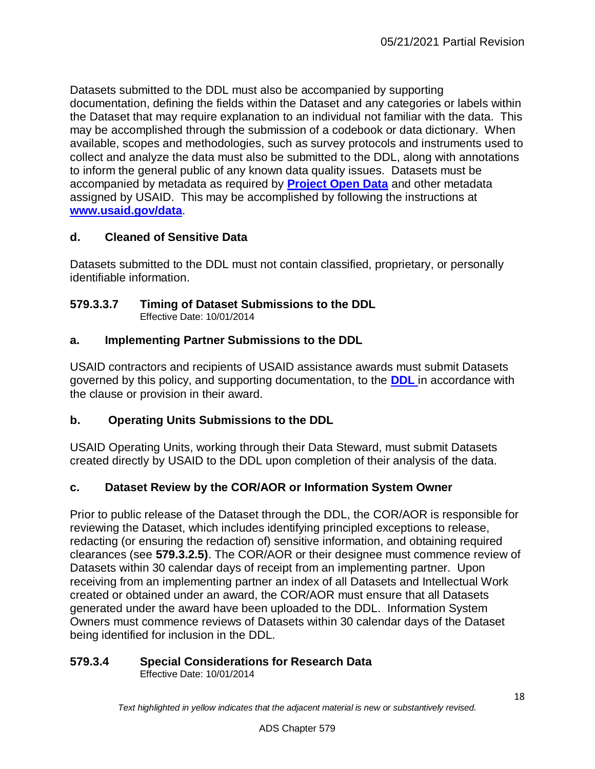Datasets submitted to the DDL must also be accompanied by supporting documentation, defining the fields within the Dataset and any categories or labels within the Dataset that may require explanation to an individual not familiar with the data. This may be accomplished through the submission of a codebook or data dictionary. When available, scopes and methodologies, such as survey protocols and instruments used to collect and analyze the data must also be submitted to the DDL, along with annotations to inform the general public of any known data quality issues. Datasets must be accompanied by metadata as required by **[Project Open Data](http://project-open-data.github.io/schema/)** and other metadata assigned by USAID. This may be accomplished by following the instructions at **[www.usaid.gov/data](http://www.usaid.gov/data)**.

## **d. Cleaned of Sensitive Data**

Datasets submitted to the DDL must not contain classified, proprietary, or personally identifiable information.

#### <span id="page-17-0"></span>**579.3.3.7 Timing of Dataset Submissions to the DDL** Effective Date: 10/01/2014

## **a. Implementing Partner Submissions to the DDL**

USAID contractors and recipients of USAID assistance awards must submit Datasets governed by this policy, and supporting documentation, to the **[DDL](http://www.usaid.gov/data)** in accordance with the clause or provision in their award.

## **b. Operating Units Submissions to the DDL**

USAID Operating Units, working through their Data Steward, must submit Datasets created directly by USAID to the DDL upon completion of their analysis of the data.

## **c. Dataset Review by the COR/AOR or Information System Owner**

Prior to public release of the Dataset through the DDL, the COR/AOR is responsible for reviewing the Dataset, which includes identifying principled exceptions to release, redacting (or ensuring the redaction of) sensitive information, and obtaining required clearances (see **579.3.2.5)**. The COR/AOR or their designee must commence review of Datasets within 30 calendar days of receipt from an implementing partner. Upon receiving from an implementing partner an index of all Datasets and Intellectual Work created or obtained under an award, the COR/AOR must ensure that all Datasets generated under the award have been uploaded to the DDL. Information System Owners must commence reviews of Datasets within 30 calendar days of the Dataset being identified for inclusion in the DDL.

## <span id="page-17-1"></span>**579.3.4 Special Considerations for Research Data**

Effective Date: 10/01/2014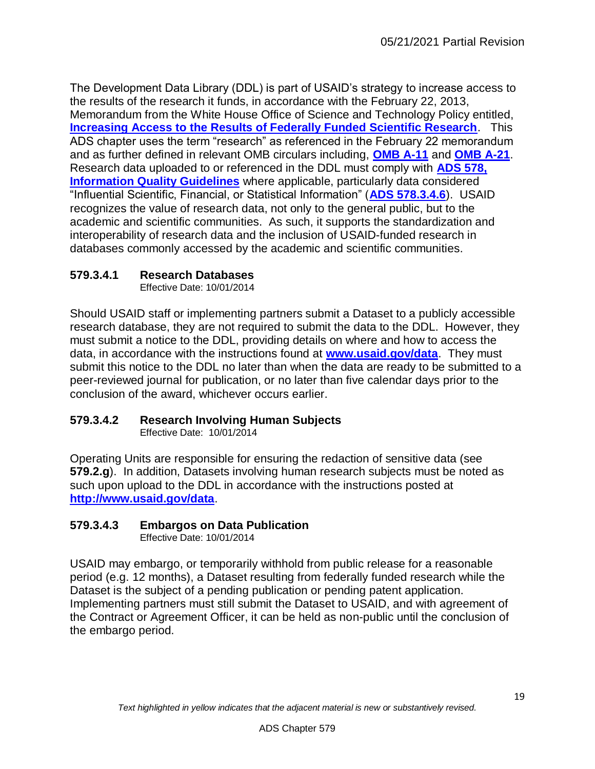The Development Data Library (DDL) is part of USAID's strategy to increase access to the results of the research it funds, in accordance with the February 22, 2013, Memorandum from the White House Office of Science and Technology Policy entitled, **[Increasing Access to the Results of Federally Funded Scientific Research](http://www.whitehouse.gov/sites/default/files/microsites/ostp/ostp_public_access_memo_2013.pdf)**. This ADS chapter uses the term "research" as referenced in the February 22 memorandum and as further defined in relevant OMB circulars including, **[OMB A-11](http://www.whitehouse.gov/omb/circulars_a11_current_year_a11_toc)** and **[OMB A-21](http://www.whitehouse.gov/omb/circulars_a021_2004)**. Research data uploaded to or referenced in the DDL must comply with **[ADS 578,](http://www.usaid.gov/ads/policy/500/578)  [Information Quality Guidelines](http://www.usaid.gov/ads/policy/500/578)** where applicable, particularly data considered "Influential Scientific, Financial, or Statistical Information" (**[ADS 578.3.4.6](http://www.usaid.gov/ads/policy/500/578)**). USAID recognizes the value of research data, not only to the general public, but to the academic and scientific communities. As such, it supports the standardization and interoperability of research data and the inclusion of USAID-funded research in databases commonly accessed by the academic and scientific communities.

## <span id="page-18-0"></span>**579.3.4.1 Research Databases**

Effective Date: 10/01/2014

Should USAID staff or implementing partners submit a Dataset to a publicly accessible research database, they are not required to submit the data to the DDL. However, they must submit a notice to the DDL, providing details on where and how to access the data, in accordance with the instructions found at **[www.usaid.gov/data](http://www.usaid.gov/data)**. They must submit this notice to the DDL no later than when the data are ready to be submitted to a peer-reviewed journal for publication, or no later than five calendar days prior to the conclusion of the award, whichever occurs earlier.

## <span id="page-18-1"></span>**579.3.4.2 Research Involving Human Subjects**

Effective Date: 10/01/2014

Operating Units are responsible for ensuring the redaction of sensitive data (see **579.2.g**). In addition, Datasets involving human research subjects must be noted as such upon upload to the DDL in accordance with the instructions posted at **<http://www.usaid.gov/data>**.

## <span id="page-18-2"></span>**579.3.4.3 Embargos on Data Publication**

Effective Date: 10/01/2014

USAID may embargo, or temporarily withhold from public release for a reasonable period (e.g. 12 months), a Dataset resulting from federally funded research while the Dataset is the subject of a pending publication or pending patent application. Implementing partners must still submit the Dataset to USAID, and with agreement of the Contract or Agreement Officer, it can be held as non-public until the conclusion of the embargo period.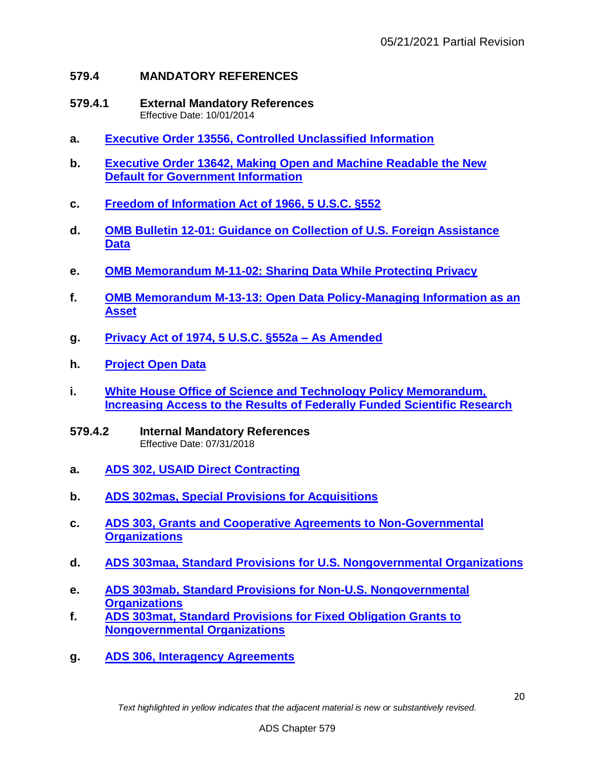## <span id="page-19-0"></span>**579.4 MANDATORY REFERENCES**

- <span id="page-19-1"></span>**579.4.1 External Mandatory References**  Effective Date: 10/01/2014
- **a. [Executive Order 13556, Controlled Unclassified Information](http://www.whitehouse.gov/the-press-office/2010/11/04/executive-order-controlled-unclassified-information)**
- **b. [Executive Order 13642, Making Open and Machine Readable the New](http://www.whitehouse.gov/the-press-office/2013/05/09/executive-order-making-open-and-machine-readable-new-default-government-)  [Default for Government Information](http://www.whitehouse.gov/the-press-office/2013/05/09/executive-order-making-open-and-machine-readable-new-default-government-)**
- **c. [Freedom of Information Act of 1966, 5 U.S.C. §552](http://www.foia.gov/)**
- **d. [OMB Bulletin 12-01: Guidance on Collection of U.S. Foreign Assistance](http://www.whitehouse.gov/sites/default/files/omb/bulletins/fy2012/b12-01.pd)  [Data](http://www.whitehouse.gov/sites/default/files/omb/bulletins/fy2012/b12-01.pd)**
- **e. [OMB Memorandum M-11-02: Sharing Data While Protecting Privacy](http://www.whitehouse.gov/sites/default/files/omb/memoranda/2011/m11-02.pdf)**
- **f. [OMB Memorandum M-13-13: Open Data Policy-Managing Information as an](http://www.whitehouse.gov/sites/default/files/omb/memoranda/2013/m-13-13.pdf)  [Asset](http://www.whitehouse.gov/sites/default/files/omb/memoranda/2013/m-13-13.pdf)**
- **g. [Privacy Act of 1974, 5 U.S.C. §552a –](http://www.justice.gov/opcl/privstat.htm) As Amended**
- **h. [Project Open Data](http://project-open-data.github.io/)**
- **i. [White House Office of Science and Technology Policy Memorandum,](http://www.whitehouse.gov/sites/default/files/microsites/ostp/ostp_public_access_memo_2013.pdf)  [Increasing Access to the Results of Federally Funded Scientific Research](http://www.whitehouse.gov/sites/default/files/microsites/ostp/ostp_public_access_memo_2013.pdf)**
- <span id="page-19-2"></span>**579.4.2 Internal Mandatory References**  Effective Date: 07/31/2018
- **a. [ADS 302, USAID Direct Contracting](http://www.usaid.gov/ads/policy/300/302)**
- **b. [ADS 302mas, Special Provisions for Acquisitions](http://www.usaid.gov/ads/policy/300/302mas)**
- **c. [ADS 303, Grants and Cooperative Agreements to Non-Governmental](http://www.usaid.gov/ads/policy/300/303)  [Organizations](http://www.usaid.gov/ads/policy/300/303)**
- **d. [ADS 303maa, Standard Provisions for U.S. Nongovernmental Organizations](http://www.usaid.gov/ads/policy/300/303maa)**
- **e. [ADS 303mab, Standard Provisions for Non-U.S. Nongovernmental](http://www.usaid.gov/ads/policy/300/303mab)  [Organizations](http://www.usaid.gov/ads/policy/300/303mab)**
- **f. [ADS 303mat, Standard Provisions for Fixed Obligation Grants to](http://www.usaid.gov/ads/policy/300/303mat)  [Nongovernmental Organizations](http://www.usaid.gov/ads/policy/300/303mat)**
- **g. [ADS 306, Interagency Agreements](http://www.usaid.gov/ads/policy/300/306)**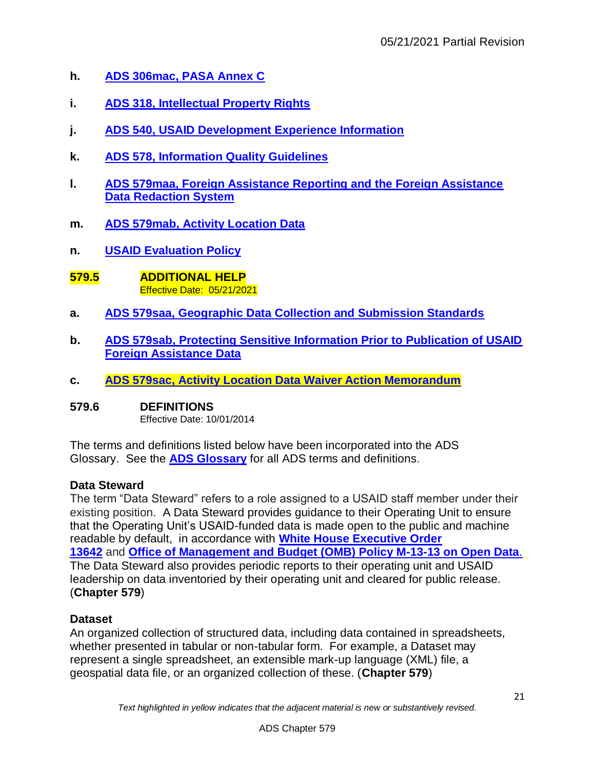- **h. [ADS 306mac, PASA Annex C](http://www.usaid.gov/ads/policy/300/306mac)**
- **i. [ADS 318, Intellectual Property Rights](http://www.usaid.gov/ads/policy/300/318)**
- **j. [ADS 540, USAID Development Experience Information](http://www.usaid.gov/ads/policy/500/540)**
- **k. [ADS 578, Information Quality Guidelines](http://www.usaid.gov/ads/policy/500/578)**
- **l. [ADS 579maa, Foreign Assistance Reporting and the Foreign Assistance](http://www.usaid.gov/ads/policy/500/579maa)  [Data Redaction System](http://www.usaid.gov/ads/policy/500/579maa)**
- **m. [ADS 579mab, Activity Location Data](https://www.usaid.gov/ads/policy/500/579mab)**
- **n. [USAID Evaluation Policy](http://www.usaid.gov/evaluation/policy)**
- <span id="page-20-0"></span>**579.5 ADDITIONAL HELP**  Effective Date: 05/21/2021
- **a. [ADS 579saa, Geographic Data Collection and Submission Standards](https://www.usaid.gov/ads/policy/500/579saa)**
- **b. [ADS 579sab, Protecting Sensitive Information Prior to Publication of USAID](http://www.usaid.gov/ads/policy/500/579sab)  [Foreign Assistance Data](http://www.usaid.gov/ads/policy/500/579sab)**
- **c. [ADS 579sac, Activity Location Data Waiver Action Memorandum](http://www.usaid.gov/ads/policy/500/579sac)**

## <span id="page-20-1"></span>**579.6 DEFINITIONS**

Effective Date: 10/01/2014

The terms and definitions listed below have been incorporated into the ADS Glossary. See the **[ADS Glossary](http://www.usaid.gov/ads/policy/glossary)** for all ADS terms and definitions.

## **Data Steward**

The term "Data Steward" refers to a role assigned to a USAID staff member under their existing position. A Data Steward provides guidance to their Operating Unit to ensure that the Operating Unit's USAID-funded data is made open to the public and machine readable by default, in accordance with **[White House Executive Order](http://www.whitehouse.gov/the-press-office/2013/05/09/executive-order-making-open-and-machine-readable-new-default-government-)  [13642](http://www.whitehouse.gov/the-press-office/2013/05/09/executive-order-making-open-and-machine-readable-new-default-government-)** and **[Office of Management and Budget \(OMB\) Policy M-13-13 on Open Data](http://www.whitehouse.gov/sites/default/files/omb/memoranda/2013/m-13-13.pdf)**. The Data Steward also provides periodic reports to their operating unit and USAID leadership on data inventoried by their operating unit and cleared for public release. (**Chapter 579**)

## **Dataset**

An organized collection of structured data, including data contained in spreadsheets, whether presented in tabular or non-tabular form. For example, a Dataset may represent a single spreadsheet, an extensible mark-up language (XML) file, a geospatial data file, or an organized collection of these. (**Chapter 579**)